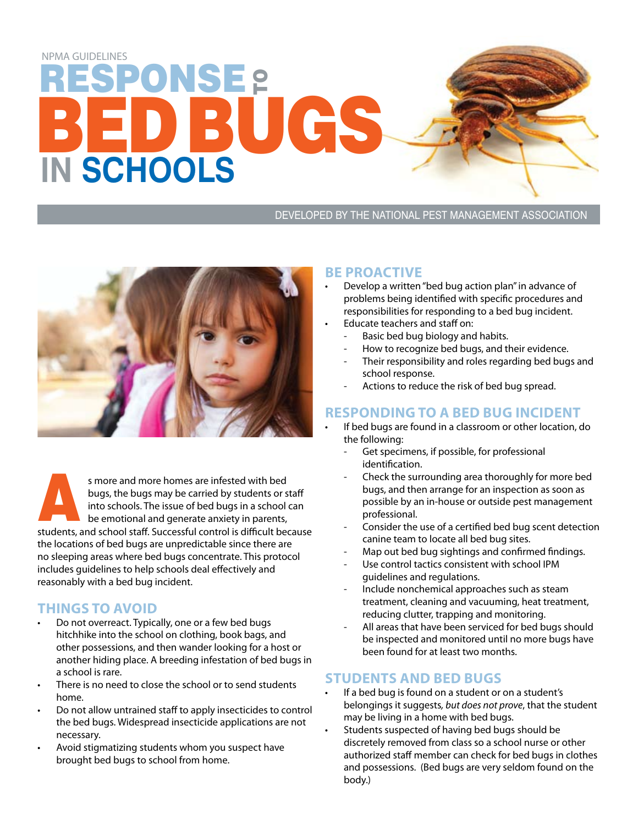# ESPONSE <del>p</del> **ED BUGS IN SCHOOLS** NPMA GUIDELINES

#### DEVELOPED BY THE NATIONAL PEST MANAGEMENT ASSOCIATION



s more and more homes are infested with bed bugs, the bugs may be carried by students or staff into schools. The issue of bed bugs in a school can be emotional and generate anxiety in parents, s more and more homes are infested with bed<br>bugs, the bugs may be carried by students or staff<br>into schools. The issue of bed bugs in a school can<br>be emotional and generate anxiety in parents,<br>students, and school staff. S the locations of bed bugs are unpredictable since there are no sleeping areas where bed bugs concentrate. This protocol includes guidelines to help schools deal effectively and reasonably with a bed bug incident.

## **Things to Avoid**

- • Do not overreact. Typically, one or a few bed bugs hitchhike into the school on clothing, book bags, and other possessions, and then wander looking for a host or another hiding place. A breeding infestation of bed bugs in a school is rare.
- There is no need to close the school or to send students home.
- Do not allow untrained staff to apply insecticides to control the bed bugs. Widespread insecticide applications are not necessary.
- Avoid stigmatizing students whom you suspect have brought bed bugs to school from home.

#### **Be Proactive**

- Develop a written "bed bug action plan" in advance of problems being identified with specific procedures and responsibilities for responding to a bed bug incident.
- Educate teachers and staff on:
	- Basic bed bug biology and habits.
	- How to recognize bed bugs, and their evidence.
	- Their responsibility and roles regarding bed bugs and school response.
	- Actions to reduce the risk of bed bug spread.

## **Responding to a Bed Bug Incident**

- If bed bugs are found in a classroom or other location, do the following:
	- Get specimens, if possible, for professional identification.
	- Check the surrounding area thoroughly for more bed bugs, and then arrange for an inspection as soon as possible by an in-house or outside pest management professional.
	- Consider the use of a certified bed bug scent detection canine team to locate all bed bug sites.
	- Map out bed bug sightings and confirmed findings.
	- Use control tactics consistent with school IPM guidelines and regulations.
	- Include nonchemical approaches such as steam treatment, cleaning and vacuuming, heat treatment, reducing clutter, trapping and monitoring.
	- All areas that have been serviced for bed bugs should be inspected and monitored until no more bugs have been found for at least two months.

### **Students and Bed Bugs**

- If a bed bug is found on a student or on a student's belongings it suggests*, but does not prove*, that the student may be living in a home with bed bugs.
- Students suspected of having bed bugs should be discretely removed from class so a school nurse or other authorized staff member can check for bed bugs in clothes and possessions. (Bed bugs are very seldom found on the body.)